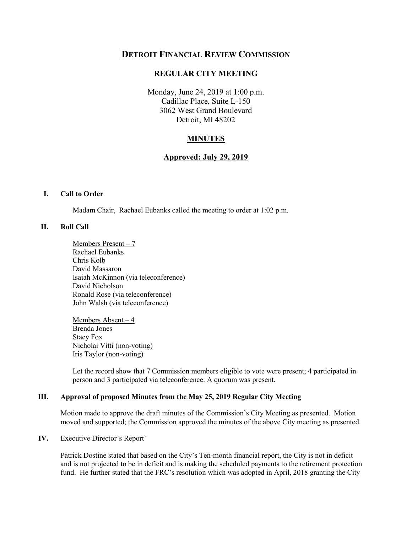# **DETROIT FINANCIAL REVIEW COMMISSION**

## **REGULAR CITY MEETING**

 Monday, June 24, 2019 at 1:00 p.m. Cadillac Place, Suite L-150 3062 West Grand Boulevard Detroit, MI 48202

## **MINUTES**

### **Approved: July 29, 2019**

#### **I. Call to Order**

Madam Chair, Rachael Eubanks called the meeting to order at 1:02 p.m.

### **II. Roll Call**

 Members Present – 7 Chris Kolb Rachael Eubanks David Massaron Isaiah McKinnon (via teleconference) David Nicholson Ronald Rose (via teleconference) John Walsh (via teleconference)

 Members Absent – 4 Brenda Jones Stacy Fox Nicholai Vitti (non-voting) Iris Taylor (non-voting)

 person and 3 participated via teleconference. A quorum was present. Let the record show that 7 Commission members eligible to vote were present; 4 participated in

#### **III. Approval of proposed Minutes from the May 25, 2019 Regular City Meeting**

Motion made to approve the draft minutes of the Commission's City Meeting as presented. Motion moved and supported; the Commission approved the minutes of the above City meeting as presented.

#### **IV.** Executive Director's Report`

 Patrick Dostine stated that based on the City's Ten-month financial report, the City is not in deficit and is not projected to be in deficit and is making the scheduled payments to the retirement protection fund. He further stated that the FRC's resolution which was adopted in April, 2018 granting the City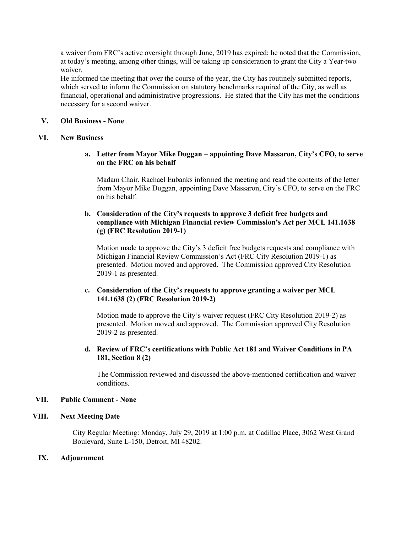a waiver from FRC's active oversight through June, 2019 has expired; he noted that the Commission, at today's meeting, among other things, will be taking up consideration to grant the City a Year-two waiver.

 financial, operational and administrative progressions. He stated that the City has met the conditions He informed the meeting that over the course of the year, the City has routinely submitted reports, which served to inform the Commission on statutory benchmarks required of the City, as well as necessary for a second waiver.

## **V. Old Business - None**

#### **VI. New Business**

**a. Letter from Mayor Mike Duggan – appointing Dave Massaron, City's CFO, to serve on the FRC on his behalf** 

 Madam Chair, Rachael Eubanks informed the meeting and read the contents of the letter from Mayor Mike Duggan, appointing Dave Massaron, City's CFO, to serve on the FRC on his behalf.

## **b. Consideration of the City's requests to approve 3 deficit free budgets and compliance with Michigan Financial review Commission's Act per MCL 141.1638 (g) (FRC Resolution 2019-1)**

 Motion made to approve the City's 3 deficit free budgets requests and compliance with Michigan Financial Review Commission's Act (FRC City Resolution 2019-1) as presented. Motion moved and approved. The Commission approved City Resolution 2019-1 as presented.

## **141.1638 (2) (FRC Resolution 2019-2) c. Consideration of the City's requests to approve granting a waiver per MCL**

 Motion made to approve the City's waiver request (FRC City Resolution 2019-2) as presented. Motion moved and approved. The Commission approved City Resolution 2019-2 as presented.

### **d. Review of FRC's certifications with Public Act 181 and Waiver Conditions in PA 181, Section 8 (2)**

The Commission reviewed and discussed the above-mentioned certification and waiver conditions.

#### **VII. Public Comment - None**

### **VIII. Next Meeting Date**

City Regular Meeting: Monday, July 29, 2019 at 1:00 p.m. at Cadillac Place, 3062 West Grand Boulevard, Suite L-150, Detroit, MI 48202.

## **IX. Adjournment**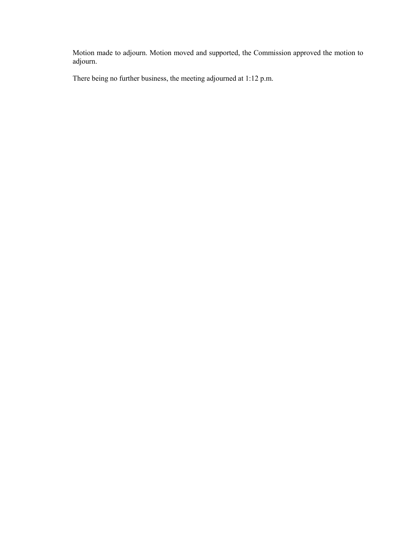Motion made to adjourn. Motion moved and supported, the Commission approved the motion to adjourn.

There being no further business, the meeting adjourned at 1:12 p.m.